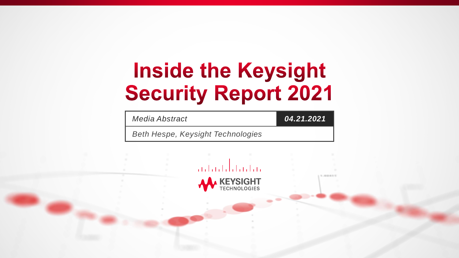# **Inside the Keysight Security Report 2021**

*Media Abstract 04.21.2021*

*Beth Hespe, Keysight Technologies*



 $1.02611$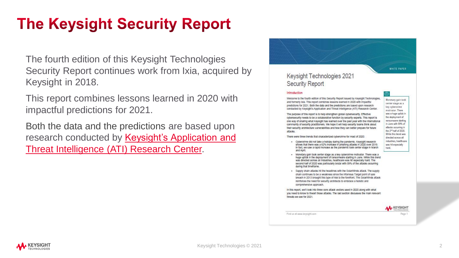## **The Keysight Security Report**

The fourth edition of this Keysight Technologies Security Report continues work from Ixia, acquired by Keysight in 2018.

This report combines lessons learned in 2020 with impactful predictions for 2021.

Both the data and the predictions are based upon [research conducted by Keysight's Application and](https://www.keysight.com/us/en/assets/7019-0190/solution-briefs/ATI-Research-Center.pdf) Threat Intelligence (ATI) Research Center.

|                                                                                                                                                                                                                                                                                                                                                                                                                                                                   | WHITE PAPER                                                                                                                                                                  |
|-------------------------------------------------------------------------------------------------------------------------------------------------------------------------------------------------------------------------------------------------------------------------------------------------------------------------------------------------------------------------------------------------------------------------------------------------------------------|------------------------------------------------------------------------------------------------------------------------------------------------------------------------------|
| Keysight Technologies 2021                                                                                                                                                                                                                                                                                                                                                                                                                                        |                                                                                                                                                                              |
| <b>Security Report</b>                                                                                                                                                                                                                                                                                                                                                                                                                                            |                                                                                                                                                                              |
| Introduction                                                                                                                                                                                                                                                                                                                                                                                                                                                      |                                                                                                                                                                              |
| Welcome to the fourth edition of this Security Report Issued by Keysight Technologies,<br>and formerly Ixia. This report combines lessons learned in 2020 with impactful<br>predictions for 2021. Both the data and the predictions are based upon research<br>conducted by Keysight's Application and Threat Intelligence (ATI) Research Center.                                                                                                                 | Monetary gain took<br>center stage as a<br>key cybercrime<br>motivator. There                                                                                                |
| The purpose of this report is to help strengthen global cybersecurity. Effective<br>cybersecurity needs to be a collaborative function by security experts. This report is<br>one way of sharing what Keysight has learned over the past year with the international<br>community of security practitioners. We hope it will help security teams think about<br>their security architecture vulnerabilities and how they can better prepare for future<br>attacks | was a huge uplick in<br>the deployment of<br>ransomware starting<br>in June with 59% of<br>attacks occurring in<br>the 2 <sup>nd</sup> half of 2020.<br>While this trend was |
| There were three trends that characterized cybercrime for most of 2020:                                                                                                                                                                                                                                                                                                                                                                                           | directed across all.                                                                                                                                                         |
| Cybercrime did not take a holiday during the pandemic. Keysight research<br>shows that there was a 62% Increase in phishing attacks in 2020 over 2019.<br>In fact, we saw a rapid increase as the pandemic took center stage in March<br>and April.                                                                                                                                                                                                               | industries, healthcare<br>was hit especially<br>hard.                                                                                                                        |
| . Monetary gain took center stage as a key cybercrime motivator. There was a<br>huge uptick in the deployment of ransomware starting in June. While this trend<br>was directed across all industries, healthcare was hit especially hard. The<br>second half of 2020 was particularly brutal with 59% of the attacks occurring<br>during that timeframe.                                                                                                          |                                                                                                                                                                              |
| Supply chain attacks hit the headlines with the SolarWinds attack. The supply<br>chain continues to be a weakness since the infamous Target point of sale<br>breach in 2013 brought this type of risk to the forefront. The SolarWinds attack<br>reinforces the need for security architects to embrace a holistic and<br>comprehensive approach.                                                                                                                 |                                                                                                                                                                              |
| In this report, we'll look into three core attack vectors used in 2020 along with what<br>you need to know to thwart those attacks. The last section discusses the main relevant<br>threats we see for 2021.                                                                                                                                                                                                                                                      |                                                                                                                                                                              |
|                                                                                                                                                                                                                                                                                                                                                                                                                                                                   | <b>KEYSIGHT</b><br><b>EDINOLOGIES</b>                                                                                                                                        |

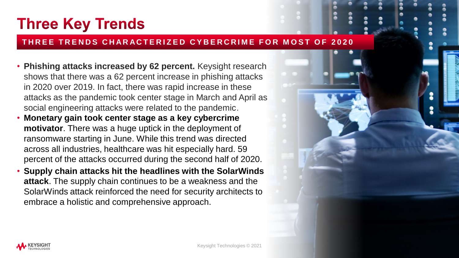### **Three Key Trends**

#### **THREE TRENDS CHARACTERIZED CYBERCRIME FOR MOST OF 2020**

- **Phishing attacks increased by 62 percent.** Keysight research shows that there was a 62 percent increase in phishing attacks in 2020 over 2019. In fact, there was rapid increase in these attacks as the pandemic took center stage in March and April as social engineering attacks were related to the pandemic.
- **Monetary gain took center stage as a key cybercrime motivator**. There was a huge uptick in the deployment of ransomware starting in June. While this trend was directed across all industries, healthcare was hit especially hard. 59 percent of the attacks occurred during the second half of 2020.
- **Supply chain attacks hit the headlines with the SolarWinds attack**. The supply chain continues to be a weakness and the SolarWinds attack reinforced the need for security architects to embrace a holistic and comprehensive approach.

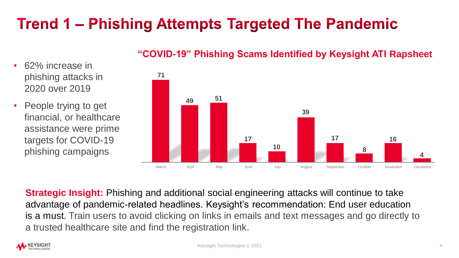## Trend 1 – Phishing Attempts Targeted The Pandemic

### **"COVID-19" Phishing Scams Identified by Keysight ATI Rapsheet**

- 62% increase in phishing attacks in 2020 over 2019
- People trying to get financial, or healthcare assistance were prime targets for COVID-19 phishing campaigns



**Strategic Insight:** Phishing and additional social engineering attacks will continue to take advantage of pandemic-related headlines. Keysight's recommendation: End user education is a must. Train users to avoid clicking on links in emails and text messages and go directly to a trusted healthcare site and find the registration link.

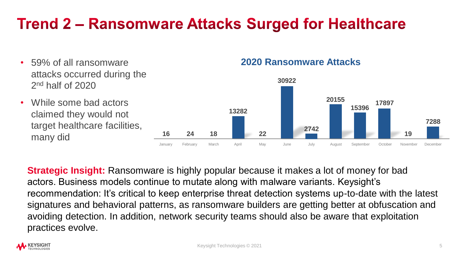### **Trend 2 – Ransomware Attacks Surged for Healthcare**

- 59% of all ransomware attacks occurred during the 2<sup>nd</sup> half of 2020
- While some bad actors claimed they would not target healthcare facilities, many did

### **2020 Ransomware Attacks**



**Strategic Insight:** Ransomware is highly popular because it makes a lot of money for bad actors. Business models continue to mutate along with malware variants. Keysight's recommendation: It's critical to keep enterprise threat detection systems up-to-date with the latest signatures and behavioral patterns, as ransomware builders are getting better at obfuscation and avoiding detection. In addition, network security teams should also be aware that exploitation practices evolve.

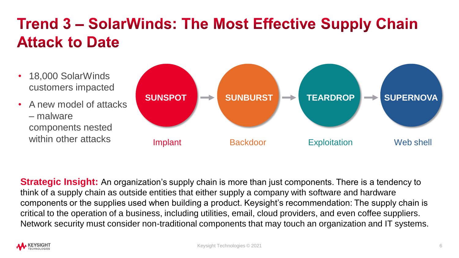# **Trend 3 - SolarWinds: The Most Effective Supply Chain Attack to Date**

- 18,000 SolarWinds customers impacted
- A new model of attacks – malware components nested within other attacks



**Strategic Insight:** An organization's supply chain is more than just components. There is a tendency to think of a supply chain as outside entities that either supply a company with software and hardware components or the supplies used when building a product. Keysight's recommendation: The supply chain is critical to the operation of a business, including utilities, email, cloud providers, and even coffee suppliers. Network security must consider non-traditional components that may touch an organization and IT systems.